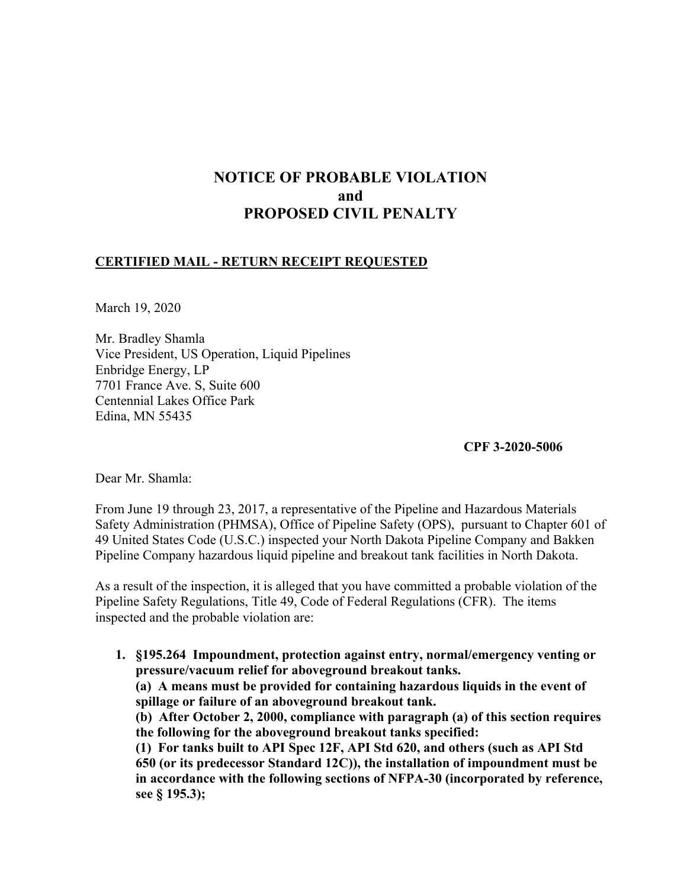# **NOTICE OF PROBABLE VIOLATION and PROPOSED CIVIL PENALTY**

## **CERTIFIED MAIL - RETURN RECEIPT REQUESTED**

March 19, 2020

Mr. Bradley Shamla Vice President, US Operation, Liquid Pipelines Enbridge Energy, LP 7701 France Ave. S, Suite 600 Centennial Lakes Office Park Edina, MN 55435

**CPF 3-2020-5006** 

Dear Mr. Shamla:

From June 19 through 23, 2017, a representative of the Pipeline and Hazardous Materials Safety Administration (PHMSA), Office of Pipeline Safety (OPS), pursuant to Chapter 601 of 49 United States Code (U.S.C.) inspected your North Dakota Pipeline Company and Bakken Pipeline Company hazardous liquid pipeline and breakout tank facilities in North Dakota.

As a result of the inspection, it is alleged that you have committed a probable violation of the Pipeline Safety Regulations, Title 49, Code of Federal Regulations (CFR). The items inspected and the probable violation are:

**1. §195.264 Impoundment, protection against entry, normal/emergency venting or pressure/vacuum relief for aboveground breakout tanks. (a) A means must be provided for containing hazardous liquids in the event of spillage or failure of an aboveground breakout tank. (b) After October 2, 2000, compliance with paragraph (a) of this section requires the following for the aboveground breakout tanks specified: (1) For tanks built to API Spec 12F, API Std 620, and others (such as API Std 650 (or its predecessor Standard 12C)), the installation of impoundment must be in accordance with the following sections of NFPA-30 (incorporated by reference, see § 195.3);**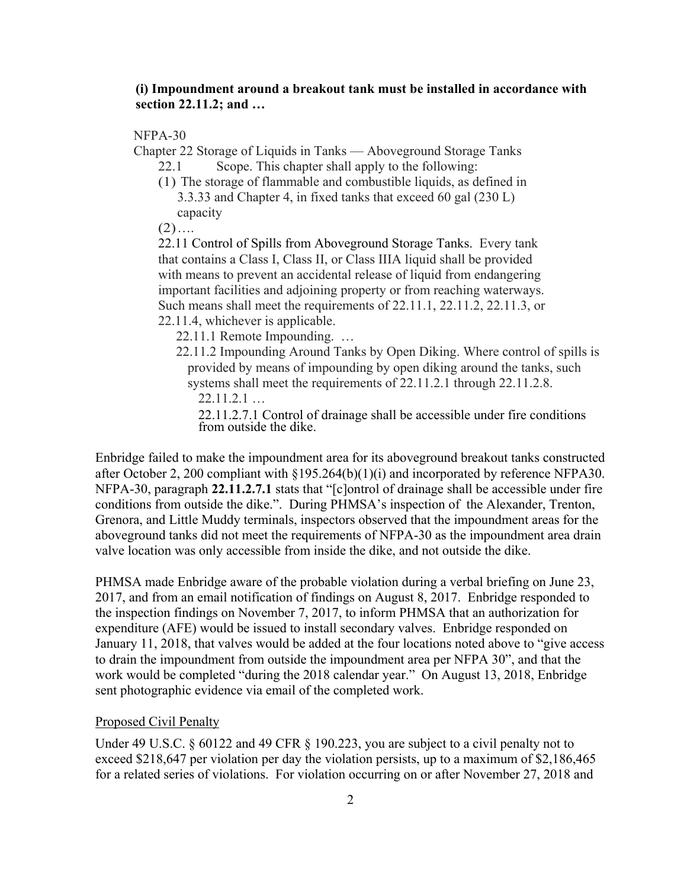## **(i) Impoundment around a breakout tank must be installed in accordance with section 22.11.2; and …**

NFPA-30

Chapter 22 Storage of Liquids in Tanks — Aboveground Storage Tanks

- 22.1 Scope. This chapter shall apply to the following:
- (1) The storage of flammable and combustible liquids, as defined in 3.3.33 and Chapter 4, in fixed tanks that exceed 60 gal (230 L) capacity

 $(2)$ ….

22.11 Control of Spills from Aboveground Storage Tanks. Every tank that contains a Class I, Class II, or Class IIIA liquid shall be provided with means to prevent an accidental release of liquid from endangering important facilities and adjoining property or from reaching waterways. Such means shall meet the requirements of 22.11.1, 22.11.2, 22.11.3, or 22.11.4, whichever is applicable.

22.11.1 Remote Impounding. …

- 22.11.2 Impounding Around Tanks by Open Diking. Where control of spills is provided by means of impounding by open diking around the tanks, such systems shall meet the requirements of 22.11.2.1 through 22.11.2.8.
	- 22.11.2.1 …

22.11.2.7.1 Control of drainage shall be accessible under fire conditions from outside the dike.

Enbridge failed to make the impoundment area for its aboveground breakout tanks constructed after October 2, 200 compliant with §195.264(b)(1)(i) and incorporated by reference NFPA30. NFPA-30, paragraph **22.11.2.7.1** stats that "[c]ontrol of drainage shall be accessible under fire conditions from outside the dike.". During PHMSA's inspection of the Alexander, Trenton, Grenora, and Little Muddy terminals, inspectors observed that the impoundment areas for the aboveground tanks did not meet the requirements of NFPA-30 as the impoundment area drain valve location was only accessible from inside the dike, and not outside the dike.

PHMSA made Enbridge aware of the probable violation during a verbal briefing on June 23, 2017, and from an email notification of findings on August 8, 2017. Enbridge responded to the inspection findings on November 7, 2017, to inform PHMSA that an authorization for expenditure (AFE) would be issued to install secondary valves. Enbridge responded on January 11, 2018, that valves would be added at the four locations noted above to "give access to drain the impoundment from outside the impoundment area per NFPA 30", and that the work would be completed "during the 2018 calendar year." On August 13, 2018, Enbridge sent photographic evidence via email of the completed work.

### Proposed Civil Penalty

Under 49 U.S.C. § 60122 and 49 CFR § 190.223, you are subject to a civil penalty not to exceed \$218,647 per violation per day the violation persists, up to a maximum of \$2,186,465 for a related series of violations. For violation occurring on or after November 27, 2018 and